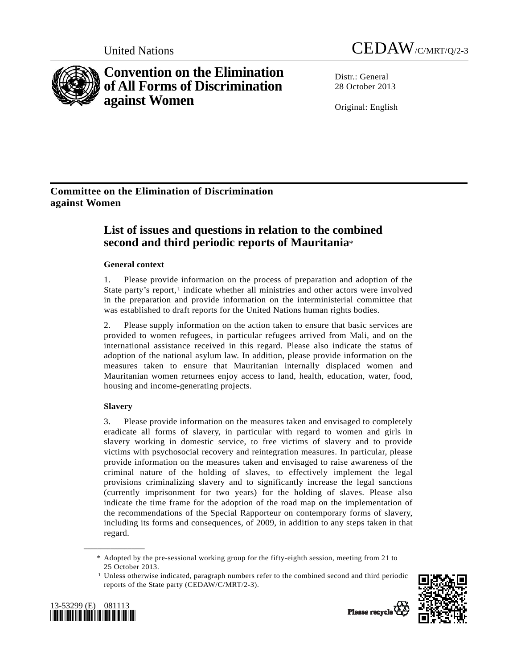

# **Convention on the Elimination of All Forms of Discrimination against Women**



Distr · General 28 October 2013

Original: English

# **Committee on the Elimination of Discrimination against Women**

# **List of issues and questions in relation to the combined second and third periodic reports of Mauritania**\*

# **General context**

1. Please provide information on the process of preparation and adoption of the State party's report, $1$  indicate whether all ministries and other actors were involved in the preparation and provide information on the interministerial committee that was established to draft reports for the United Nations human rights bodies.

2. Please supply information on the action taken to ensure that basic services are provided to women refugees, in particular refugees arrived from Mali, and on the international assistance received in this regard. Please also indicate the status of adoption of the national asylum law. In addition, please provide information on the measures taken to ensure that Mauritanian internally displaced women and Mauritanian women returnees enjoy access to land, health, education, water, food, housing and income-generating projects.

# **Slavery**

**\_\_\_\_\_\_\_\_\_\_\_\_\_\_\_\_\_\_** 

3. Please provide information on the measures taken and envisaged to completely eradicate all forms of slavery, in particular with regard to women and girls in slavery working in domestic service, to free victims of slavery and to provide victims with psychosocial recovery and reintegration measures. In particular, please provide information on the measures taken and envisaged to raise awareness of the criminal nature of the holding of slaves, to effectively implement the legal provisions criminalizing slavery and to significantly increase the legal sanctions (currently imprisonment for two years) for the holding of slaves. Please also indicate the time frame for the adoption of the road map on the implementation of the recommendations of the Special Rapporteur on contemporary forms of slavery, including its forms and consequences, of 2009, in addition to any steps taken in that regard.

 $<sup>1</sup>$  Unless otherwise indicated, paragraph numbers refer to the combined second and third periodic</sup> reports of the State party (CEDAW/C/MRT/2-3).



<span id="page-0-0"></span>

 <sup>\*</sup> Adopted by the pre-sessional working group for the fifty-eighth session, meeting from 21 to 25 October 2013.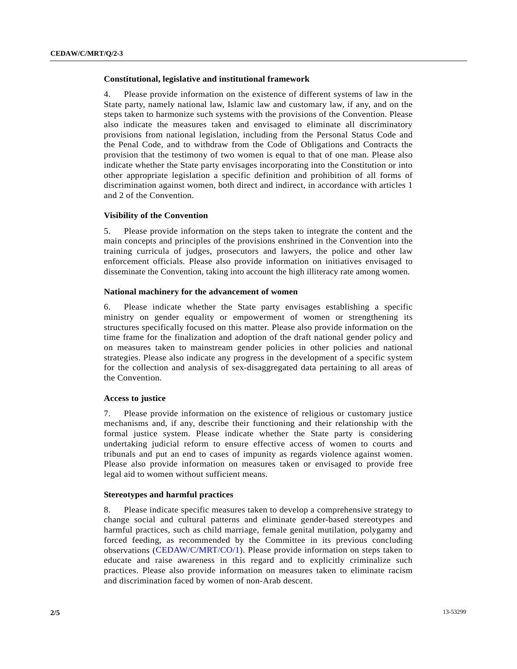# **Constitutional, legislative and institutional framework**

4. Please provide information on the existence of different systems of law in the State party, namely national law, Islamic law and customary law, if any, and on the steps taken to harmonize such systems with the provisions of the Convention. Please also indicate the measures taken and envisaged to eliminate all discriminatory provisions from national legislation, including from the Personal Status Code and the Penal Code, and to withdraw from the Code of Obligations and Contracts the provision that the testimony of two women is equal to that of one man. Please also indicate whether the State party envisages incorporating into the Constitution or into other appropriate legislation a specific definition and prohibition of all forms of discrimination against women, both direct and indirect, in accordance with articles 1 and 2 of the Convention.

#### **Visibility of the Convention**

5. Please provide information on the steps taken to integrate the content and the main concepts and principles of the provisions enshrined in the Convention into the training curricula of judges, prosecutors and lawyers, the police and other law enforcement officials. Please also provide information on initiatives envisaged to disseminate the Convention, taking into account the high illiteracy rate among women.

## **National machinery for the advancement of women**

6. Please indicate whether the State party envisages establishing a specific ministry on gender equality or empowerment of women or strengthening its structures specifically focused on this matter. Please also provide information on the time frame for the finalization and adoption of the draft national gender policy and on measures taken to mainstream gender policies in other policies and national strategies. Please also indicate any progress in the development of a specific system for the collection and analysis of sex-disaggregated data pertaining to all areas of the Convention.

#### **Access to justice**

7. Please provide information on the existence of religious or customary justice mechanisms and, if any, describe their functioning and their relationship with the formal justice system. Please indicate whether the State party is considering undertaking judicial reform to ensure effective access of women to courts and tribunals and put an end to cases of impunity as regards violence against women. Please also provide information on measures taken or envisaged to provide free legal aid to women without sufficient means.

#### **Stereotypes and harmful practices**

8. Please indicate specific measures taken to develop a comprehensive strategy to change social and cultural patterns and eliminate gender-based stereotypes and harmful practices, such as child marriage, female genital mutilation, polygamy and forced feeding, as recommended by the Committee in its previous concluding observations [\(CEDAW/C/MRT/CO/1](http://undocs.org/CEDAW/C/MRT/CO/1)). Please provide information on steps taken to educate and raise awareness in this regard and to explicitly criminalize such practices. Please also provide information on measures taken to eliminate racism and discrimination faced by women of non-Arab descent.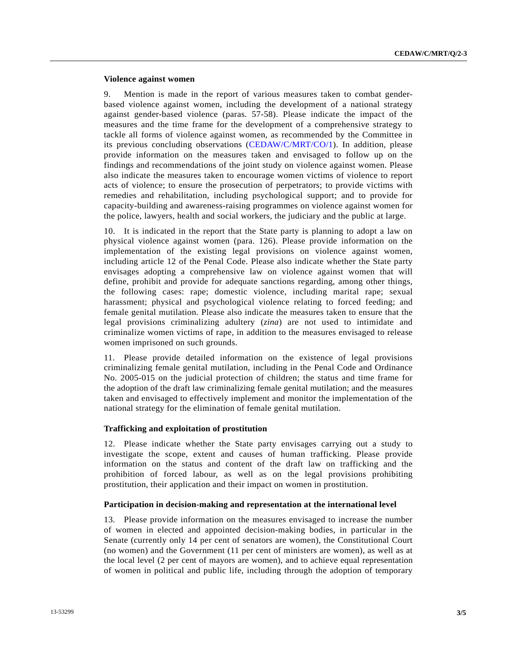### **Violence against women**

9. Mention is made in the report of various measures taken to combat genderbased violence against women, including the development of a national strategy against gender-based violence (paras. 57-58). Please indicate the impact of the measures and the time frame for the development of a comprehensive strategy to tackle all forms of violence against women, as recommended by the Committee in its previous concluding observations ([CEDAW/C/MRT/CO/1\)](http://undocs.org/CEDAW/C/MRT/CO/1). In addition, please provide information on the measures taken and envisaged to follow up on the findings and recommendations of the joint study on violence against women. Please also indicate the measures taken to encourage women victims of violence to report acts of violence; to ensure the prosecution of perpetrators; to provide victims with remedies and rehabilitation, including psychological support; and to provide for capacity-building and awareness-raising programmes on violence against women for the police, lawyers, health and social workers, the judiciary and the public at large.

10. It is indicated in the report that the State party is planning to adopt a law on physical violence against women (para. 126). Please provide information on the implementation of the existing legal provisions on violence against women, including article 12 of the Penal Code. Please also indicate whether the State party envisages adopting a comprehensive law on violence against women that will define, prohibit and provide for adequate sanctions regarding, among other things, the following cases: rape; domestic violence, including marital rape; sexual harassment; physical and psychological violence relating to forced feeding; and female genital mutilation. Please also indicate the measures taken to ensure that the legal provisions criminalizing adultery (*zina*) are not used to intimidate and criminalize women victims of rape, in addition to the measures envisaged to release women imprisoned on such grounds.

11. Please provide detailed information on the existence of legal provisions criminalizing female genital mutilation, including in the Penal Code and Ordinance No. 2005-015 on the judicial protection of children; the status and time frame for the adoption of the draft law criminalizing female genital mutilation; and the measures taken and envisaged to effectively implement and monitor the implementation of the national strategy for the elimination of female genital mutilation.

#### **Trafficking and exploitation of prostitution**

12. Please indicate whether the State party envisages carrying out a study to investigate the scope, extent and causes of human trafficking. Please provide information on the status and content of the draft law on trafficking and the prohibition of forced labour, as well as on the legal provisions prohibiting prostitution, their application and their impact on women in prostitution.

#### **Participation in decision-making and representation at the international level**

13. Please provide information on the measures envisaged to increase the number of women in elected and appointed decision-making bodies, in particular in the Senate (currently only 14 per cent of senators are women), the Constitutional Court (no women) and the Government (11 per cent of ministers are women), as well as at the local level (2 per cent of mayors are women), and to achieve equal representation of women in political and public life, including through the adoption of temporary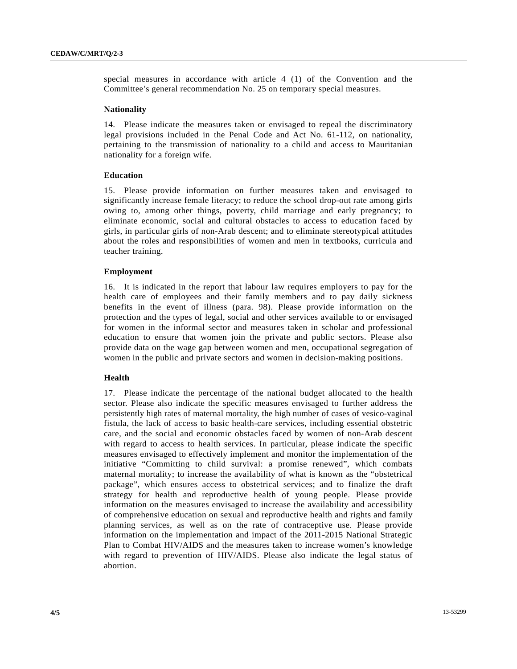special measures in accordance with article 4 (1) of the Convention and the Committee's general recommendation No. 25 on temporary special measures.

#### **Nationality**

14. Please indicate the measures taken or envisaged to repeal the discriminatory legal provisions included in the Penal Code and Act No. 61-112, on nationality, pertaining to the transmission of nationality to a child and access to Mauritanian nationality for a foreign wife.

#### **Education**

15. Please provide information on further measures taken and envisaged to significantly increase female literacy; to reduce the school drop-out rate among girls owing to, among other things, poverty, child marriage and early pregnancy; to eliminate economic, social and cultural obstacles to access to education faced by girls, in particular girls of non-Arab descent; and to eliminate stereotypical attitudes about the roles and responsibilities of women and men in textbooks, curricula and teacher training.

#### **Employment**

16. It is indicated in the report that labour law requires employers to pay for the health care of employees and their family members and to pay daily sickness benefits in the event of illness (para. 98). Please provide information on the protection and the types of legal, social and other services available to or envisaged for women in the informal sector and measures taken in scholar and professional education to ensure that women join the private and public sectors. Please also provide data on the wage gap between women and men, occupational segregation of women in the public and private sectors and women in decision-making positions.

#### **Health**

17. Please indicate the percentage of the national budget allocated to the health sector. Please also indicate the specific measures envisaged to further address the persistently high rates of maternal mortality, the high number of cases of vesico-vaginal fistula, the lack of access to basic health-care services, including essential obstetric care, and the social and economic obstacles faced by women of non-Arab descent with regard to access to health services. In particular, please indicate the specific measures envisaged to effectively implement and monitor the implementation of the initiative "Committing to child survival: a promise renewed", which combats maternal mortality; to increase the availability of what is known as the "obstetrical package", which ensures access to obstetrical services; and to finalize the draft strategy for health and reproductive health of young people. Please provide information on the measures envisaged to increase the availability and accessibility of comprehensive education on sexual and reproductive health and rights and family planning services, as well as on the rate of contraceptive use. Please provide information on the implementation and impact of the 2011-2015 National Strategic Plan to Combat HIV/AIDS and the measures taken to increase women's knowledge with regard to prevention of HIV/AIDS. Please also indicate the legal status of abortion.